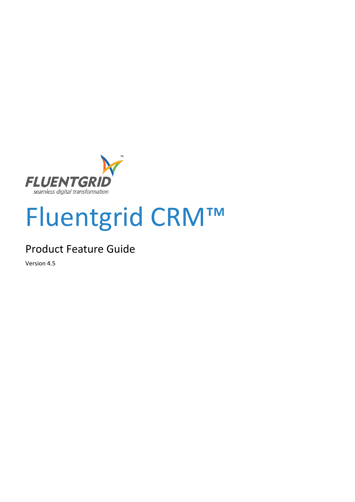

# Fluentgrid CRM™

## Product Feature Guide

Version 4.5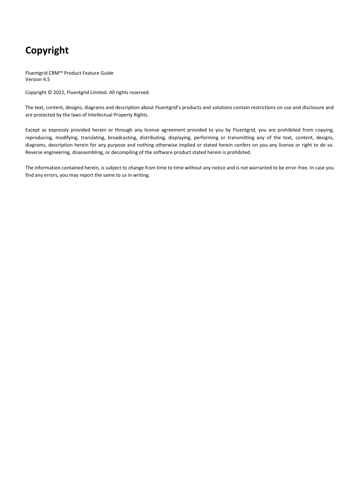## **Copyright**

Fluentgrid CRM™ Product Feature Guide Version 4.5

Copyright © 2022, Fluentgrid Limited. All rights reserved.

The text, content, designs, diagrams and description about Fluentgrid's products and solutions contain restrictions on use and disclosure and are protected by the laws of Intellectual Property Rights.

Except as expressly provided herein or through any license agreement provided to you by Fluentgrid, you are prohibited from copying, reproducing, modifying, translating, broadcasting, distributing, displaying, performing or transmitting any of the text, content, designs, diagrams, description herein for any purpose and nothing otherwise implied or stated herein confers on you any license or right to do so. Reverse engineering, disassembling, or decompiling of the software product stated herein is prohibited.

The information contained herein, is subject to change from time to time without any notice and is not warranted to be error-free. In case you find any errors, you may report the same to us in writing.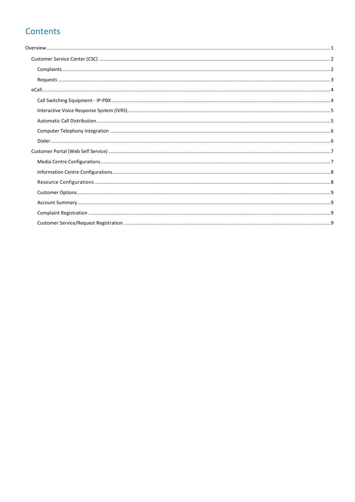## Contents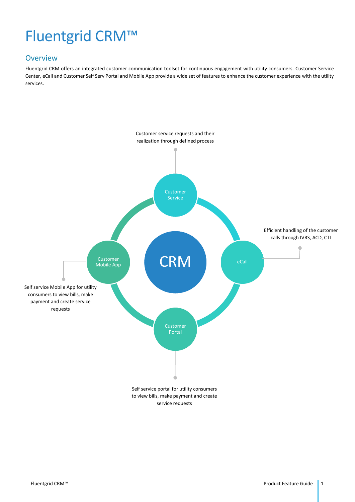## Fluentgrid CRM™

#### <span id="page-3-0"></span>**Overview**

Fluentgrid CRM offers an integrated customer communication toolset for continuous engagement with utility consumers. Customer Service Center, eCall and Customer Self Serv Portal and Mobile App provide a wide set of features to enhance the customer experience with the utility services.

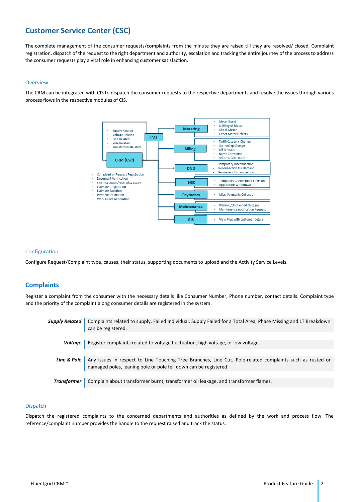### <span id="page-4-0"></span>**Customer Service Center (CSC)**

The complete management of the consumer requests/complaints from the minute they are raised till they are resolved/ closed. Complaint registration, dispatch of the request to the right department and authority, escalation and tracking the entire journey of the process to address the consumer requests play a vital role in enhancing customer satisfaction.

#### Overview

The CRM can be integrated with CIS to dispatch the consumer requests to the respective departments and resolve the issues through various process flows in the respective modules of CIS.



#### Configuration

Configure Request/Complaint type, causes, their status, supporting documents to upload and the Activity Service Levels.

#### <span id="page-4-1"></span>**Complaints**

Register a complaint from the consumer with the necessary details like Consumer Number, Phone number, contact details. Complaint type and the priority of the complaint along consumer details are registered in the system.

|                       | Supply Related   Complaints related to supply, Failed Individual, Supply Failed for a Total Area, Phase Missing and LT Breakdown<br>can be registered.                                      |
|-----------------------|---------------------------------------------------------------------------------------------------------------------------------------------------------------------------------------------|
|                       |                                                                                                                                                                                             |
| <i><b>Voltage</b></i> | Register complaints related to voltage fluctuation, high voltage, or low voltage.                                                                                                           |
|                       |                                                                                                                                                                                             |
|                       | Line & Pole   Any issues in respect to Line Touching Tree Branches, Line Cut, Pole-related complaints such as rusted or<br>damaged poles, leaning pole or pole fell down can be registered. |
|                       |                                                                                                                                                                                             |
| Transformer           | Complain about transformer burnt, transformer oil leakage, and transformer flames.                                                                                                          |

#### Dispatch

Dispatch the registered complaints to the concerned departments and authorities as defined by the work and process flow. The reference/complaint number provides the handle to the request raised and track the status.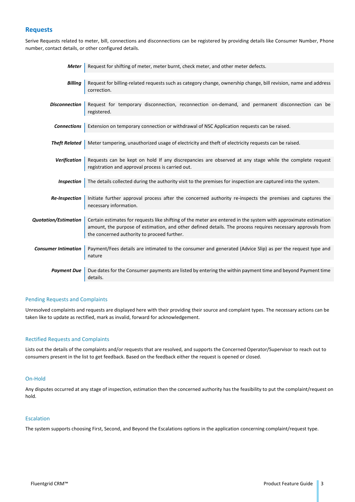#### <span id="page-5-0"></span>**Requests**

Serive Requests related to meter, bill, connections and disconnections can be registered by providing details like Consumer Number, Phone number, contact details, or other configured details.

| <b>Meter</b>               | Request for shifting of meter, meter burnt, check meter, and other meter defects.                                                                                                                                                                                             |
|----------------------------|-------------------------------------------------------------------------------------------------------------------------------------------------------------------------------------------------------------------------------------------------------------------------------|
|                            |                                                                                                                                                                                                                                                                               |
| Billing                    | Request for billing-related requests such as category change, ownership change, bill revision, name and address<br>correction.                                                                                                                                                |
|                            |                                                                                                                                                                                                                                                                               |
| <b>Disconnection</b>       | Request for temporary disconnection, reconnection on-demand, and permanent disconnection can be<br>registered.                                                                                                                                                                |
|                            |                                                                                                                                                                                                                                                                               |
| <b>Connections</b>         | Extension on temporary connection or withdrawal of NSC Application requests can be raised.                                                                                                                                                                                    |
|                            |                                                                                                                                                                                                                                                                               |
| <b>Theft Related</b>       | Meter tampering, unauthorized usage of electricity and theft of electricity requests can be raised.                                                                                                                                                                           |
|                            |                                                                                                                                                                                                                                                                               |
| <b>Verification</b>        | Requests can be kept on hold If any discrepancies are observed at any stage while the complete request<br>registration and approval process is carried out.                                                                                                                   |
|                            |                                                                                                                                                                                                                                                                               |
| <b>Inspection</b>          | The details collected during the authority visit to the premises for inspection are captured into the system.                                                                                                                                                                 |
|                            |                                                                                                                                                                                                                                                                               |
| <b>Re-Inspection</b>       | Initiate further approval process after the concerned authority re-inspects the premises and captures the<br>necessary information.                                                                                                                                           |
|                            |                                                                                                                                                                                                                                                                               |
| Quotation/Estimation       | Certain estimates for requests like shifting of the meter are entered in the system with approximate estimation<br>amount, the purpose of estimation, and other defined details. The process requires necessary approvals from<br>the concerned authority to proceed further. |
|                            |                                                                                                                                                                                                                                                                               |
| <b>Consumer Intimation</b> | Payment/Fees details are intimated to the consumer and generated (Advice Slip) as per the request type and<br>nature                                                                                                                                                          |
|                            |                                                                                                                                                                                                                                                                               |
| <b>Payment Due</b>         | Due dates for the Consumer payments are listed by entering the within payment time and beyond Payment time<br>details.                                                                                                                                                        |

#### Pending Requests and Complaints

Unresolved complaints and requests are displayed here with their providing their source and complaint types. The necessary actions can be taken like to update as rectified, mark as invalid, forward for acknowledgement.

#### Rectified Requests and Complaints

Lists out the details of the complaints and/or requests that are resolved, and supports the Concerned Operator/Supervisor to reach out to consumers present in the list to get feedback. Based on the feedback either the request is opened or closed.

#### On-Hold

Any disputes occurred at any stage of inspection, estimation then the concerned authority has the feasibility to put the complaint/request on hold.

#### Escalation

The system supports choosing First, Second, and Beyond the Escalations options in the application concerning complaint/request type.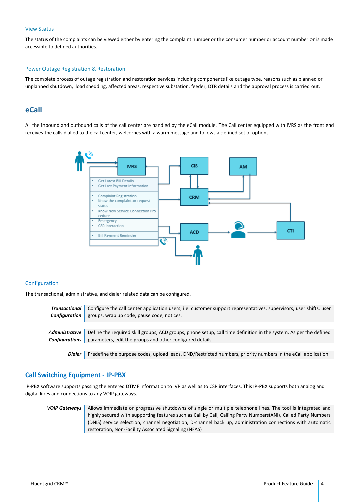#### View Status

The status of the complaints can be viewed either by entering the complaint number or the consumer number or account number or is made accessible to defined authorities.

#### Power Outage Registration & Restoration

The complete process of outage registration and restoration services including components like outage type, reasons such as planned or unplanned shutdown, load shedding, affected areas, respective substation, feeder, DTR details and the approval process is carried out.

#### <span id="page-6-0"></span>**eCall**

All the inbound and outbound calls of the call center are handled by the eCall module. The Call center equipped with IVRS as the front end receives the calls dialled to the call center, welcomes with a warm message and follows a defined set of options.



#### Configuration

The transactional, administrative, and dialer related data can be configured.

| Transactional   Configure the call center application users, i.e. customer support representatives, supervisors, user shifts, user |
|------------------------------------------------------------------------------------------------------------------------------------|
| <b>Configuration</b> groups, wrap up code, pause code, notices.                                                                    |
|                                                                                                                                    |
| Administrative Define the required skill groups, ACD groups, phone setup, call time definition in the system. As per the defined   |
| <b>Configurations</b> parameters, edit the groups and other configured details,                                                    |
|                                                                                                                                    |

**Dialer** Predefine the purpose codes, upload leads, DND/Restricted numbers, priority numbers in the eCall application

#### <span id="page-6-1"></span>**Call Switching Equipment - IP-PBX**

IP-PBX software supports passing the entered DTMF information to IVR as well as to CSR interfaces. This IP-PBX supports both analog and digital lines and connections to any VOIP gateways.

**VOIP Gateways** Allows immediate or progressive shutdowns of single or multiple telephone lines. The tool is integrated and highly secured with supporting features such as Call by Call, Calling Party Numbers(ANI), Called Party Numbers (DNIS) service selection, channel negotiation, D-channel back up, administration connections with automatic restoration, Non-Facility Associated Signaling (NFAS)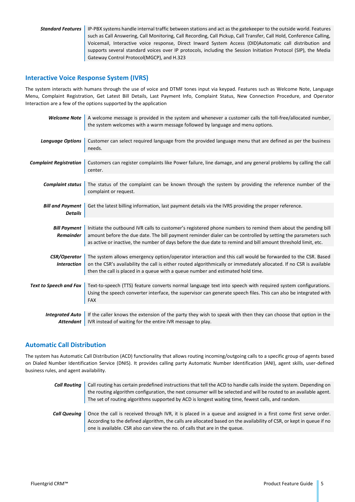**Standard Features** IP-PBX systems handle internal traffic between stations and act as the gatekeeper to the outside world. Features such as Call Answering, Call Monitoring, Call Recording, Call Pickup, Call Transfer, Call Hold, Conference Calling, Voicemail, Interactive voice response, Direct Inward System Access (DID)Automatic call distribution and supports several standard voices over IP protocols, including the Session Initiation Protocol (SIP), the Media Gateway Control Protocol(MGCP), and H.323

#### <span id="page-7-0"></span>**Interactive Voice Response System (IVRS)**

The system interacts with humans through the use of voice and DTMF tones input via keypad. Features such as Welcome Note, Language Menu, Complaint Registration, Get Latest Bill Details, Last Payment Info, Complaint Status, New Connection Procedure, and Operator Interaction are a few of the options supported by the application

| <b>Welcome Note</b>           | A welcome message is provided in the system and whenever a customer calls the toll-free/allocated number,<br>the system welcomes with a warm message followed by language and menu options.                                                   |
|-------------------------------|-----------------------------------------------------------------------------------------------------------------------------------------------------------------------------------------------------------------------------------------------|
|                               |                                                                                                                                                                                                                                               |
| <b>Language Options</b>       | Customer can select required language from the provided language menu that are defined as per the business<br>needs.                                                                                                                          |
|                               |                                                                                                                                                                                                                                               |
| <b>Complaint Registration</b> | Customers can register complaints like Power failure, line damage, and any general problems by calling the call<br>center.                                                                                                                    |
|                               |                                                                                                                                                                                                                                               |
| <b>Complaint status</b>       | The status of the complaint can be known through the system by providing the reference number of the<br>complaint or request.                                                                                                                 |
|                               |                                                                                                                                                                                                                                               |
| <b>Bill and Payment</b>       | Get the latest billing information, last payment details via the IVRS providing the proper reference.                                                                                                                                         |
| <b>Details</b>                |                                                                                                                                                                                                                                               |
|                               |                                                                                                                                                                                                                                               |
|                               |                                                                                                                                                                                                                                               |
| <b>Bill Payment</b>           | Initiate the outbound IVR calls to customer's registered phone numbers to remind them about the pending bill                                                                                                                                  |
| <b>Remainder</b>              | amount before the due date. The bill payment reminder dialer can be controlled by setting the parameters such                                                                                                                                 |
|                               | as active or inactive, the number of days before the due date to remind and bill amount threshold limit, etc.                                                                                                                                 |
|                               |                                                                                                                                                                                                                                               |
|                               |                                                                                                                                                                                                                                               |
| <b>CSR/Operator</b>           | The system allows emergency option/operator interaction and this call would be forwarded to the CSR. Based                                                                                                                                    |
| <b>Interaction</b>            | on the CSR's availability the call is either routed algorithmically or immediately allocated. If no CSR is available                                                                                                                          |
|                               | then the call is placed in a queue with a queue number and estimated hold time.                                                                                                                                                               |
|                               |                                                                                                                                                                                                                                               |
|                               |                                                                                                                                                                                                                                               |
| <b>Text to Speech and Fax</b> | Text-to-speech (TTS) feature converts normal language text into speech with required system configurations.<br>Using the speech converter interface, the supervisor can generate speech files. This can also be integrated with<br><b>FAX</b> |
|                               |                                                                                                                                                                                                                                               |
| <b>Integrated Auto</b>        | If the caller knows the extension of the party they wish to speak with then they can choose that option in the                                                                                                                                |
|                               |                                                                                                                                                                                                                                               |
| <b>Attendant</b>              | IVR instead of waiting for the entire IVR message to play.                                                                                                                                                                                    |
|                               |                                                                                                                                                                                                                                               |

#### <span id="page-7-1"></span>**Automatic Call Distribution**

The system has Automatic Call Distribution (ACD) functionality that allows routing incoming/outgoing calls to a specific group of agents based on Dialed Number Identification Service (DNIS). It provides calling party Automatic Number Identification (ANI), agent skills, user-defined business rules, and agent availability.

**Call Routing** | Call routing has certain predefined instructions that tell the ACD to handle calls inside the system. Depending on the routing algorithm configuration, the next consumer will be selected and will be routed to an available agent. The set of routing algorithms supported by ACD is longest waiting time, fewest calls, and random. **Call Queuing** Once the call is received through IVR, it is placed in a queue and assigned in a first come first serve order. According to the defined algorithm, the calls are allocated based on the availability of CSR, or kept in queue if no one is available. CSR also can view the no. of calls that are in the queue.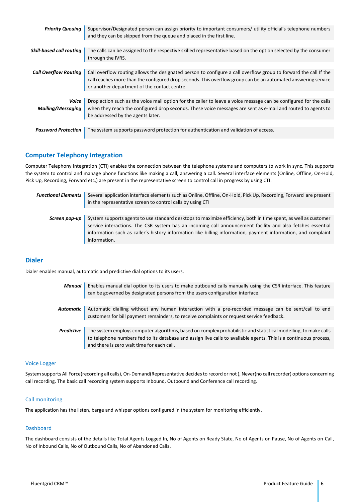| <b>Priority Queuing</b>           | Supervisor/Designated person can assign priority to important consumers/ utility official's telephone numbers<br>and they can be skipped from the queue and placed in the first line.                                                                                             |
|-----------------------------------|-----------------------------------------------------------------------------------------------------------------------------------------------------------------------------------------------------------------------------------------------------------------------------------|
|                                   |                                                                                                                                                                                                                                                                                   |
| <b>Skill-based call routing</b>   | The calls can be assigned to the respective skilled representative based on the option selected by the consumer<br>through the IVRS.                                                                                                                                              |
|                                   |                                                                                                                                                                                                                                                                                   |
| <b>Call Overflow Routing</b>      | Call overflow routing allows the designated person to configure a call overflow group to forward the call If the<br>call reaches more than the configured drop seconds. This overflow group can be an automated answering service<br>or another department of the contact centre. |
|                                   |                                                                                                                                                                                                                                                                                   |
| Voice<br><b>Mailing/Messaging</b> | Drop action such as the voice mail option for the caller to leave a voice message can be configured for the calls<br>when they reach the configured drop seconds. These voice messages are sent as e-mail and routed to agents to<br>be addressed by the agents later.            |
|                                   |                                                                                                                                                                                                                                                                                   |
| <b>Password Protection</b>        | The system supports password protection for authentication and validation of access.                                                                                                                                                                                              |

#### <span id="page-8-0"></span>**Computer Telephony Integration**

Computer Telephony Integration (CTI) enables the connection between the telephone systems and computers to work in sync. This supports the system to control and manage phone functions like making a call, answering a call. Several interface elements (Online, Offline, On-Hold, Pick Up, Recording, Forward etc,) are present in the representative screen to control call in progress by using CTI.

| <b>Functional Elements</b> | Several application interface elements such as Online, Offline, On-Hold, Pick Up, Recording, Forward are present<br>in the representative screen to control calls by using CTI                                                                                                                                                                                 |
|----------------------------|----------------------------------------------------------------------------------------------------------------------------------------------------------------------------------------------------------------------------------------------------------------------------------------------------------------------------------------------------------------|
| Screen pop-up              | System supports agents to use standard desktops to maximize efficiency, both in time spent, as well as customer<br>service interactions. The CSR system has an incoming call announcement facility and also fetches essential<br>information such as caller's history information like billing information, payment information, and complaint<br>information. |

#### <span id="page-8-1"></span>**Dialer**

Dialer enables manual, automatic and predictive dial options to its users.

*Manual* Enables manual dial option to its users to make outbound calls manually using the CSR interface. This feature can be governed by designated persons from the users configuration interface. *Automatic* Automatic dialling without any human interaction with a pre-recorded message can be sent/call to end customers for bill payment remainders, to receive complaints or request service feedback. **Predictive** The system employs computer algorithms, based on complex probabilistic and statistical modelling, to make calls to telephone numbers fed to its database and assign live calls to available agents. This is a continuous process,

#### Voice Logger

System supports All Force(recording all calls), On-Demand(Representative decides to record or not ), Never(no call recorder) options concerning call recording. The basic call recording system supports Inbound, Outbound and Conference call recording.

#### Call monitoring

The application has the listen, barge and whisper options configured in the system for monitoring efficiently.

and there is zero wait time for each call.

#### Dashboard

The dashboard consists of the details like Total Agents Logged In, No of Agents on Ready State, No of Agents on Pause, No of Agents on Call, No of Inbound Calls, No of Outbound Calls, No of Abandoned Calls.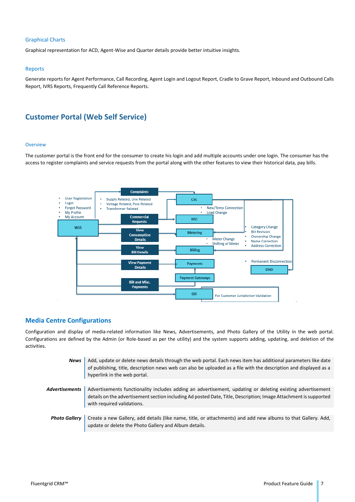#### Graphical Charts

Graphical representation for ACD, Agent-Wise and Quarter details provide better intuitive insights.

#### Reports

Generate reports for Agent Performance, Call Recording, Agent Login and Logout Report, Cradle to Grave Report, Inbound and Outbound Calls Report, IVRS Reports, Frequently Call Reference Reports.

#### <span id="page-9-0"></span>**Customer Portal (Web Self Service)**

#### **Overview**

The customer portal is the front end for the consumer to create his login and add multiple accounts under one login. The consumer has the access to register complaints and service requests from the portal along with the other features to view their historical data, pay bills.



#### <span id="page-9-1"></span>**Media Centre Configurations**

Configuration and display of media-related information like News, Advertisements, and Photo Gallery of the Utility in the web portal. Configurations are defined by the Admin (or Role-based as per the utility) and the system supports adding, updating, and deletion of the activities.

| <b>News</b>          | Add, update or delete news details through the web portal. Each news item has additional parameters like date<br>of publishing, title, description news web can also be uploaded as a file with the description and displayed as a<br>hyperlink in the web portal. |
|----------------------|--------------------------------------------------------------------------------------------------------------------------------------------------------------------------------------------------------------------------------------------------------------------|
| Advertisements       | Advertisements functionality includes adding an advertisement, updating or deleting existing advertisement<br>details on the advertisement section including Ad posted Date, Title, Description; Image Attachment is supported<br>with required validations.       |
| <b>Photo Gallery</b> | Create a new Gallery, add details (like name, title, or attachments) and add new albums to that Gallery. Add,<br>update or delete the Photo Gallery and Album details.                                                                                             |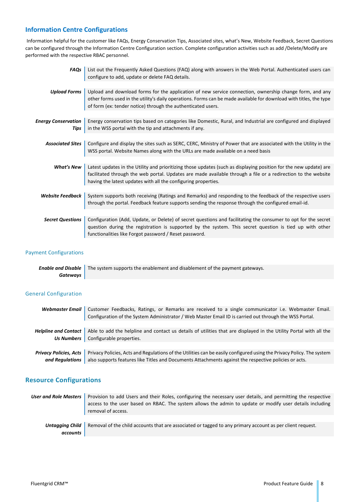#### <span id="page-10-0"></span>**Information Centre Configurations**

Information helpful for the customer like FAQs, Energy Conservation Tips, Associated sites, what's New, Website Feedback, Secret Questions can be configured through the Information Centre Configuration section. Complete configuration activities such as add /Delete/Modify are performed with the respective RBAC personnel.

| <b>FAOs</b>                        | List out the Frequently Asked Questions (FAQ) along with answers in the Web Portal. Authenticated users can<br>configure to add, update or delete FAQ details.                                                                                                                                       |
|------------------------------------|------------------------------------------------------------------------------------------------------------------------------------------------------------------------------------------------------------------------------------------------------------------------------------------------------|
|                                    |                                                                                                                                                                                                                                                                                                      |
| <b>Upload Forms</b>                | Upload and download forms for the application of new service connection, ownership change form, and any<br>other forms used in the utility's daily operations. Forms can be made available for download with titles, the type<br>of form (ex: tender notice) through the authenticated users.        |
|                                    |                                                                                                                                                                                                                                                                                                      |
| <b>Energy Conservation</b><br>Tips | Energy conservation tips based on categories like Domestic, Rural, and Industrial are configured and displayed<br>in the WSS portal with the tip and attachments if any.                                                                                                                             |
|                                    |                                                                                                                                                                                                                                                                                                      |
| <b>Associated Sites</b>            | Configure and display the sites such as SERC, CERC, Ministry of Power that are associated with the Utility in the<br>WSS portal. Website Names along with the URLs are made available on a need basis                                                                                                |
|                                    |                                                                                                                                                                                                                                                                                                      |
| <b>What's New</b>                  | Latest updates in the Utility and prioritizing those updates (such as displaying position for the new update) are<br>facilitated through the web portal. Updates are made available through a file or a redirection to the website<br>having the latest updates with all the configuring properties. |
|                                    |                                                                                                                                                                                                                                                                                                      |
| <b>Website Feedback</b>            | System supports both receiving (Ratings and Remarks) and responding to the feedback of the respective users<br>through the portal. Feedback feature supports sending the response through the configured email-id.                                                                                   |
| <b>Secret Questions</b>            | Configuration (Add, Update, or Delete) of secret questions and facilitating the consumer to opt for the secret<br>question during the registration is supported by the system. This secret question is tied up with other<br>functionalities like Forgot password / Reset password.                  |

#### Payment Configurations

|          | <b>Enable and Disable</b> The system supports the enablement and disablement of the payment gateways. |
|----------|-------------------------------------------------------------------------------------------------------|
| Gateways |                                                                                                       |

#### General Configuration

|                               | Webmaster Email   Customer Feedbacks, Ratings, or Remarks are received to a single communicator i.e. Webmaster Email. |
|-------------------------------|-----------------------------------------------------------------------------------------------------------------------|
|                               | Configuration of the System Administrator / Web Master Email ID is carried out through the WSS Portal.                |
|                               |                                                                                                                       |
| Helpline and Contact          | Able to add the helpline and contact us details of utilities that are displayed in the Utility Portal with all the    |
|                               | <b>Us Numbers</b> Configurable properties.                                                                            |
|                               |                                                                                                                       |
| <b>Privacy Policies, Acts</b> | Privacy Policies, Acts and Regulations of the Utilities can be easily configured using the Privacy Policy. The system |
| and Reaulations               | also supports features like Titles and Documents Attachments against the respective policies or acts.                 |

#### <span id="page-10-1"></span>**Resource Configurations**

| User and Role Masters       | Provision to add Users and their Roles, configuring the necessary user details, and permitting the respective<br>access to the user based on RBAC. The system allows the admin to update or modify user details including<br>removal of access. |
|-----------------------------|-------------------------------------------------------------------------------------------------------------------------------------------------------------------------------------------------------------------------------------------------|
| Untagaing Child<br>accounts | Removal of the child accounts that are associated or tagged to any primary account as per client request.                                                                                                                                       |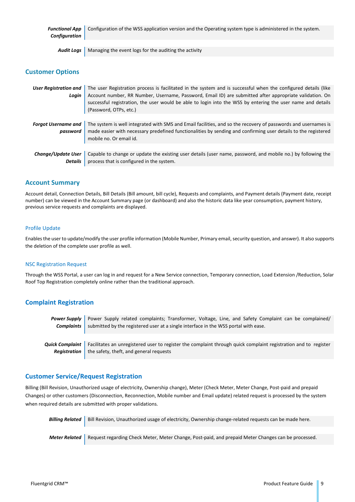| <b>Configuration</b> | <b>Functional App</b> Configuration of the WSS application version and the Operating system type is administered in the system. |
|----------------------|---------------------------------------------------------------------------------------------------------------------------------|
|                      |                                                                                                                                 |
|                      | <b>Audit Logs</b> Managing the event logs for the auditing the activity                                                         |

#### <span id="page-11-0"></span>**Customer Options**

| <b>User Registration and</b><br>Login  | The user Registration process is facilitated in the system and is successful when the configured details (like<br>Account number, RR Number, Username, Password, Email ID) are submitted after appropriate validation. On<br>successful registration, the user would be able to login into the WSS by entering the user name and details<br>(Password, OTPs, etc.) |
|----------------------------------------|--------------------------------------------------------------------------------------------------------------------------------------------------------------------------------------------------------------------------------------------------------------------------------------------------------------------------------------------------------------------|
| <b>Forgot Username and</b><br>password | The system is well integrated with SMS and Email facilities, and so the recovery of passwords and usernames is<br>made easier with necessary predefined functionalities by sending and confirming user details to the registered<br>mobile no. Or email id.                                                                                                        |
| Change/Update User<br><b>Details</b>   | Capable to change or update the existing user details (user name, password, and mobile no.) by following the<br>process that is configured in the system.                                                                                                                                                                                                          |

#### <span id="page-11-1"></span>**Account Summary**

Account detail, Connection Details, Bill Details (Bill amount, bill cycle), Requests and complaints, and Payment details (Payment date, receipt number) can be viewed in the Account Summary page (or dashboard) and also the historic data like year consumption, payment history, previous service requests and complaints are displayed.

#### Profile Update

Enables the user to update/modify the user profile information (Mobile Number, Primary email, security question, and answer). It also supports the deletion of the complete user profile as well.

#### NSC Registration Request

Through the WSS Portal, a user can log in and request for a New Service connection, Temporary connection, Load Extension /Reduction, Solar Roof Top Registration completely online rather than the traditional approach.

#### <span id="page-11-2"></span>**Complaint Registration**

*Power Supply Complaints* Power Supply related complaints; Transformer, Voltage, Line, and Safety Complaint can be complained/ submitted by the registered user at a single interface in the WSS portal with ease.

*Quick Complaint Registration* Facilitates an unregistered user to register the complaint through quick complaint registration and to register the safety, theft, and general requests

#### <span id="page-11-3"></span>**Customer Service/Request Registration**

Billing (Bill Revision, Unauthorized usage of electricity, Ownership change), Meter (Check Meter, Meter Change, Post-paid and prepaid Changes) or other customers (Disconnection, Reconnection, Mobile number and Email update) related request is processed by the system when required details are submitted with proper validations.

| Billing Related   Bill Revision, Unauthorized usage of electricity, Ownership change-related requests can be made here. |
|-------------------------------------------------------------------------------------------------------------------------|
|                                                                                                                         |
| Meter Related   Request regarding Check Meter, Meter Change, Post-paid, and prepaid Meter Changes can be processed.     |